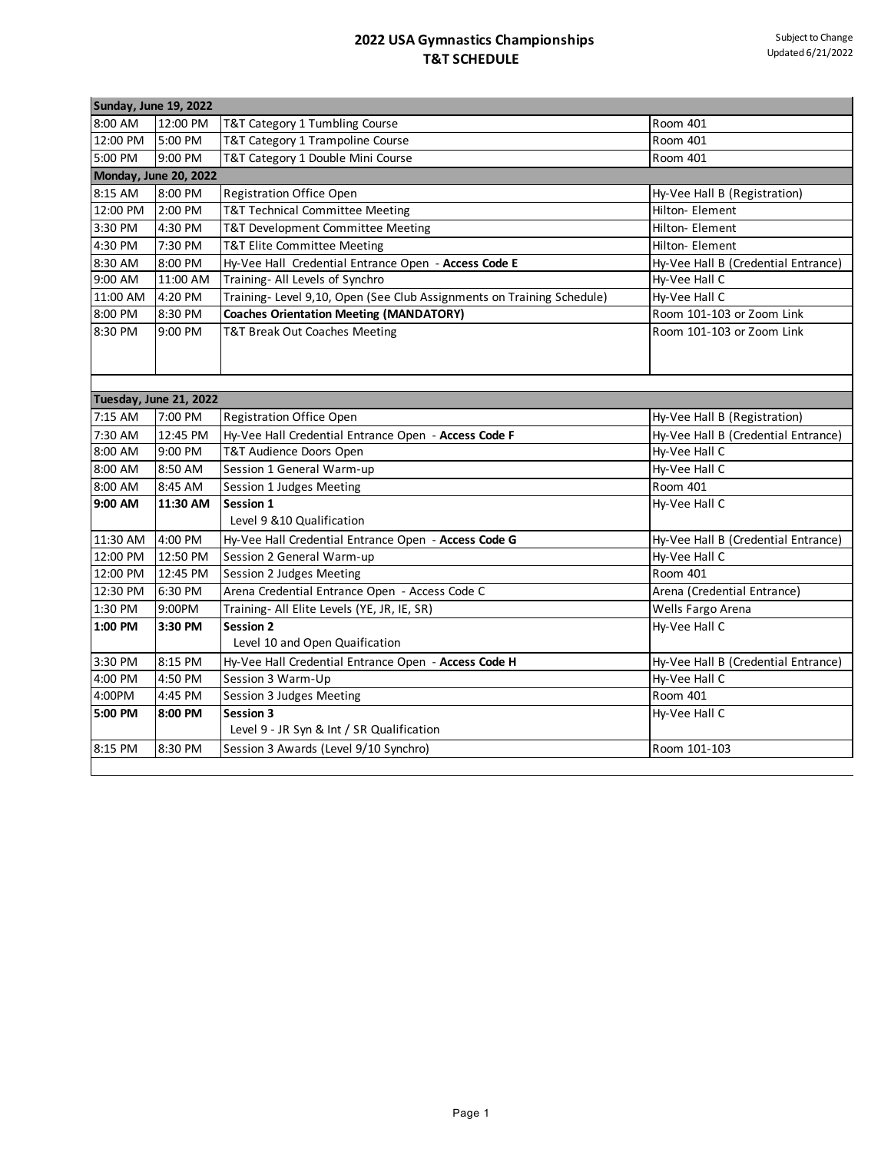| Sunday, June 19, 2022 |                              |                                                                        |                                     |
|-----------------------|------------------------------|------------------------------------------------------------------------|-------------------------------------|
| 8:00 AM               | 12:00 PM                     | T&T Category 1 Tumbling Course                                         | Room 401                            |
| 12:00 PM              | 5:00 PM                      | T&T Category 1 Trampoline Course                                       | Room 401                            |
| 5:00 PM               | 9:00 PM                      | T&T Category 1 Double Mini Course                                      | Room 401                            |
|                       | <b>Monday, June 20, 2022</b> |                                                                        |                                     |
| 8:15 AM               | 8:00 PM                      | <b>Registration Office Open</b>                                        | Hy-Vee Hall B (Registration)        |
| 12:00 PM              | 2:00 PM                      | <b>T&amp;T Technical Committee Meeting</b>                             | Hilton- Element                     |
| 3:30 PM               | 4:30 PM                      | T&T Development Committee Meeting                                      | Hilton- Element                     |
| 4:30 PM               | 7:30 PM                      | T&T Elite Committee Meeting                                            | Hilton- Element                     |
| 8:30 AM               | 8:00 PM                      | Hy-Vee Hall Credential Entrance Open - Access Code E                   | Hy-Vee Hall B (Credential Entrance) |
| 9:00 AM               | 11:00 AM                     | Training- All Levels of Synchro                                        | Hy-Vee Hall C                       |
| 11:00 AM              | 4:20 PM                      | Training- Level 9,10, Open (See Club Assignments on Training Schedule) | Hy-Vee Hall C                       |
| 8:00 PM               | 8:30 PM                      | <b>Coaches Orientation Meeting (MANDATORY)</b>                         | Room 101-103 or Zoom Link           |
| 8:30 PM               | 9:00 PM                      | T&T Break Out Coaches Meeting                                          | Room 101-103 or Zoom Link           |
|                       | Tuesday, June 21, 2022       |                                                                        |                                     |
| 7:15 AM               | 7:00 PM                      | <b>Registration Office Open</b>                                        | Hy-Vee Hall B (Registration)        |
| 7:30 AM               | 12:45 PM                     | Hy-Vee Hall Credential Entrance Open - Access Code F                   | Hy-Vee Hall B (Credential Entrance) |
| 8:00 AM               | 9:00 PM                      | T&T Audience Doors Open                                                | Hy-Vee Hall C                       |
| 8:00 AM               | 8:50 AM                      | Session 1 General Warm-up                                              | Hy-Vee Hall C                       |
| 8:00 AM               | 8:45 AM                      | Session 1 Judges Meeting                                               | Room 401                            |
| 9:00 AM               | 11:30 AM                     | Session 1<br>Level 9 &10 Qualification                                 | Hy-Vee Hall C                       |
| 11:30 AM              | 4:00 PM                      | Hy-Vee Hall Credential Entrance Open - Access Code G                   | Hy-Vee Hall B (Credential Entrance) |
| 12:00 PM              | 12:50 PM                     | Session 2 General Warm-up                                              | Hy-Vee Hall C                       |
| 12:00 PM              | 12:45 PM                     | Session 2 Judges Meeting                                               | Room 401                            |
| 12:30 PM              | 6:30 PM                      | Arena Credential Entrance Open - Access Code C                         | Arena (Credential Entrance)         |
| 1:30 PM               | 9:00PM                       | Training- All Elite Levels (YE, JR, IE, SR)                            | Wells Fargo Arena                   |
| 1:00 PM               | 3:30 PM                      | <b>Session 2</b><br>Level 10 and Open Quaification                     | Hy-Vee Hall C                       |
| 3:30 PM               | 8:15 PM                      | Hy-Vee Hall Credential Entrance Open - Access Code H                   | Hy-Vee Hall B (Credential Entrance) |
| 4:00 PM               | 4:50 PM                      | Session 3 Warm-Up                                                      | Hy-Vee Hall C                       |
| 4:00PM                | 4:45 PM                      | Session 3 Judges Meeting                                               | Room 401                            |
| 5:00 PM               | 8:00 PM                      | Session 3<br>Level 9 - JR Syn & Int / SR Qualification                 | Hy-Vee Hall C                       |
| 8:15 PM               | 8:30 PM                      | Session 3 Awards (Level 9/10 Synchro)                                  | Room 101-103                        |
|                       |                              |                                                                        |                                     |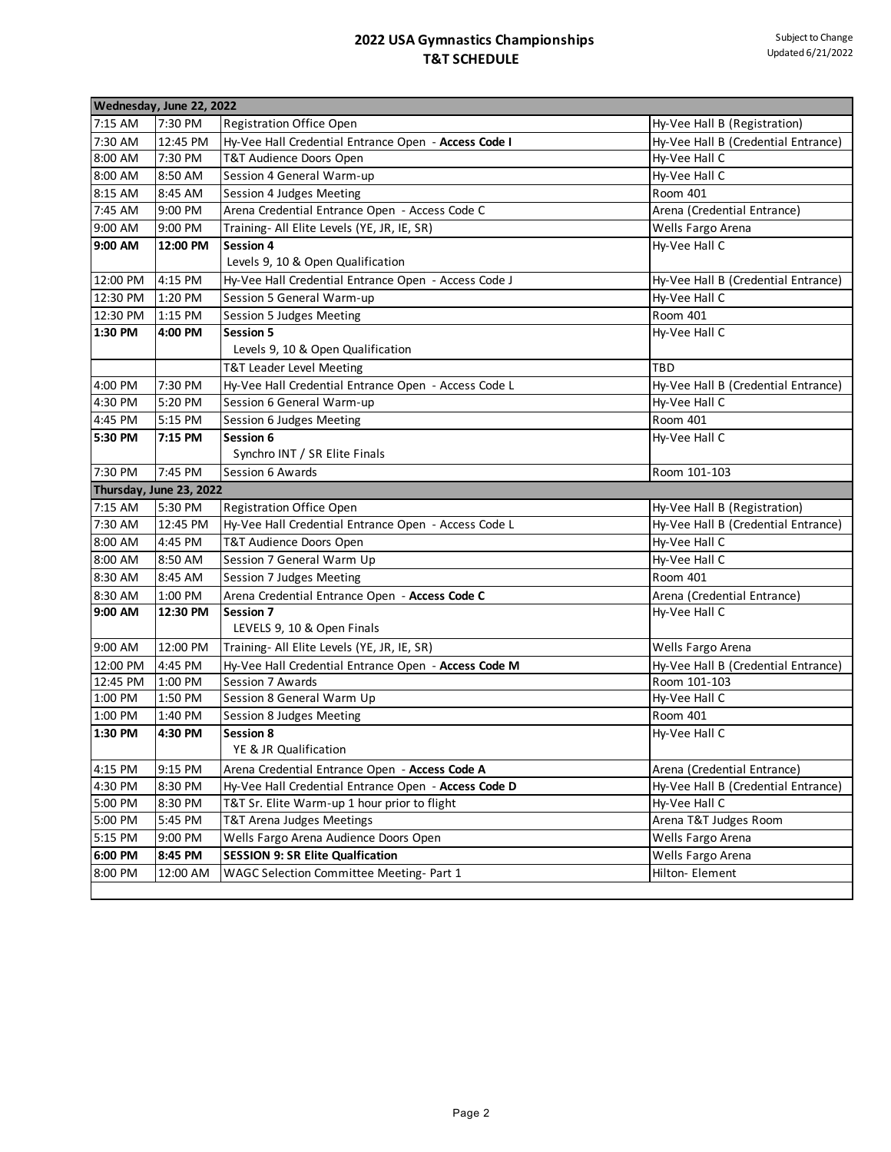| Wednesday, June 22, 2022 |                         |                                                                                     |                                      |  |  |  |
|--------------------------|-------------------------|-------------------------------------------------------------------------------------|--------------------------------------|--|--|--|
| 7:15 AM                  | 7:30 PM                 | <b>Registration Office Open</b>                                                     | Hy-Vee Hall B (Registration)         |  |  |  |
| 7:30 AM                  | 12:45 PM                | Hy-Vee Hall Credential Entrance Open - Access Code I                                | Hy-Vee Hall B (Credential Entrance)  |  |  |  |
| 8:00 AM                  | 7:30 PM                 | T&T Audience Doors Open                                                             | Hy-Vee Hall C                        |  |  |  |
| 8:00 AM                  | 8:50 AM                 | Session 4 General Warm-up                                                           | Hy-Vee Hall C                        |  |  |  |
| 8:15 AM                  | 8:45 AM                 | Session 4 Judges Meeting                                                            | Room 401                             |  |  |  |
| 7:45 AM                  | 9:00 PM                 | Arena Credential Entrance Open - Access Code C                                      | Arena (Credential Entrance)          |  |  |  |
| 9:00 AM                  | 9:00 PM                 | Training- All Elite Levels (YE, JR, IE, SR)                                         | Wells Fargo Arena                    |  |  |  |
| 9:00 AM                  | 12:00 PM                | <b>Session 4</b>                                                                    | Hy-Vee Hall C                        |  |  |  |
|                          |                         | Levels 9, 10 & Open Qualification                                                   |                                      |  |  |  |
| 12:00 PM                 | 4:15 PM                 | Hy-Vee Hall Credential Entrance Open - Access Code J                                | Hy-Vee Hall B (Credential Entrance)  |  |  |  |
| 12:30 PM                 | 1:20 PM                 | Session 5 General Warm-up                                                           | Hy-Vee Hall C                        |  |  |  |
| 12:30 PM                 | 1:15 PM                 | Session 5 Judges Meeting                                                            | Room 401                             |  |  |  |
| 1:30 PM                  | 4:00 PM                 | <b>Session 5</b>                                                                    | Hy-Vee Hall C                        |  |  |  |
|                          |                         | Levels 9, 10 & Open Qualification                                                   |                                      |  |  |  |
|                          |                         | T&T Leader Level Meeting                                                            | TBD                                  |  |  |  |
| 4:00 PM                  | 7:30 PM                 | Hy-Vee Hall Credential Entrance Open - Access Code L                                | Hy-Vee Hall B (Credential Entrance)  |  |  |  |
| 4:30 PM                  | 5:20 PM                 | Session 6 General Warm-up                                                           | Hy-Vee Hall C                        |  |  |  |
| 4:45 PM                  | 5:15 PM                 | Session 6 Judges Meeting                                                            | Room 401                             |  |  |  |
| 5:30 PM                  | 7:15 PM                 | Session 6                                                                           | Hy-Vee Hall C                        |  |  |  |
|                          |                         | Synchro INT / SR Elite Finals                                                       |                                      |  |  |  |
| 7:30 PM                  | 7:45 PM                 | Session 6 Awards                                                                    | Room 101-103                         |  |  |  |
|                          | Thursday, June 23, 2022 |                                                                                     |                                      |  |  |  |
|                          |                         |                                                                                     |                                      |  |  |  |
| 7:15 AM                  | 5:30 PM                 | <b>Registration Office Open</b>                                                     | Hy-Vee Hall B (Registration)         |  |  |  |
| 7:30 AM                  | 12:45 PM                | Hy-Vee Hall Credential Entrance Open - Access Code L                                | Hy-Vee Hall B (Credential Entrance)  |  |  |  |
| 8:00 AM                  | 4:45 PM                 | T&T Audience Doors Open                                                             | Hy-Vee Hall C                        |  |  |  |
| 8:00 AM                  | 8:50 AM                 | Session 7 General Warm Up                                                           | Hy-Vee Hall C                        |  |  |  |
| 8:30 AM                  | 8:45 AM                 | Session 7 Judges Meeting                                                            | Room 401                             |  |  |  |
| 8:30 AM                  | 1:00 PM                 | Arena Credential Entrance Open - Access Code C                                      | Arena (Credential Entrance)          |  |  |  |
| 9:00 AM                  | 12:30 PM                | <b>Session 7</b>                                                                    | Hy-Vee Hall C                        |  |  |  |
|                          |                         | LEVELS 9, 10 & Open Finals                                                          |                                      |  |  |  |
| 9:00 AM                  | 12:00 PM                | Training- All Elite Levels (YE, JR, IE, SR)                                         | Wells Fargo Arena                    |  |  |  |
| 12:00 PM                 | 4:45 PM                 | Hy-Vee Hall Credential Entrance Open - Access Code M                                | Hy-Vee Hall B (Credential Entrance)  |  |  |  |
| 12:45 PM                 | 1:00 PM                 | Session 7 Awards                                                                    | Room 101-103                         |  |  |  |
| 1:00 PM                  | 1:50 PM                 | Session 8 General Warm Up                                                           | Hy-Vee Hall C                        |  |  |  |
| 1:00 PM                  | 1:40 PM                 | Session 8 Judges Meeting                                                            | Room 401                             |  |  |  |
| 1:30 PM                  | 4:30 PM                 | <b>Session 8</b>                                                                    | Hy-Vee Hall C                        |  |  |  |
|                          |                         | YE & JR Qualification                                                               |                                      |  |  |  |
| 4:15 PM                  | 9:15 PM                 | Arena Credential Entrance Open - Access Code A                                      | Arena (Credential Entrance)          |  |  |  |
| 4:30 PM                  | 8:30 PM                 | Hy-Vee Hall Credential Entrance Open - Access Code D                                | Hy-Vee Hall B (Credential Entrance)  |  |  |  |
| 5:00 PM                  | 8:30 PM                 | T&T Sr. Elite Warm-up 1 hour prior to flight                                        | Hy-Vee Hall C                        |  |  |  |
| 5:00 PM                  | 5:45 PM                 | T&T Arena Judges Meetings                                                           | Arena T&T Judges Room                |  |  |  |
| 5:15 PM                  | 9:00 PM                 | Wells Fargo Arena Audience Doors Open                                               | Wells Fargo Arena                    |  |  |  |
| 6:00 PM<br>8:00 PM       | 8:45 PM<br>12:00 AM     | <b>SESSION 9: SR Elite Qualfication</b><br>WAGC Selection Committee Meeting- Part 1 | Wells Fargo Arena<br>Hilton- Element |  |  |  |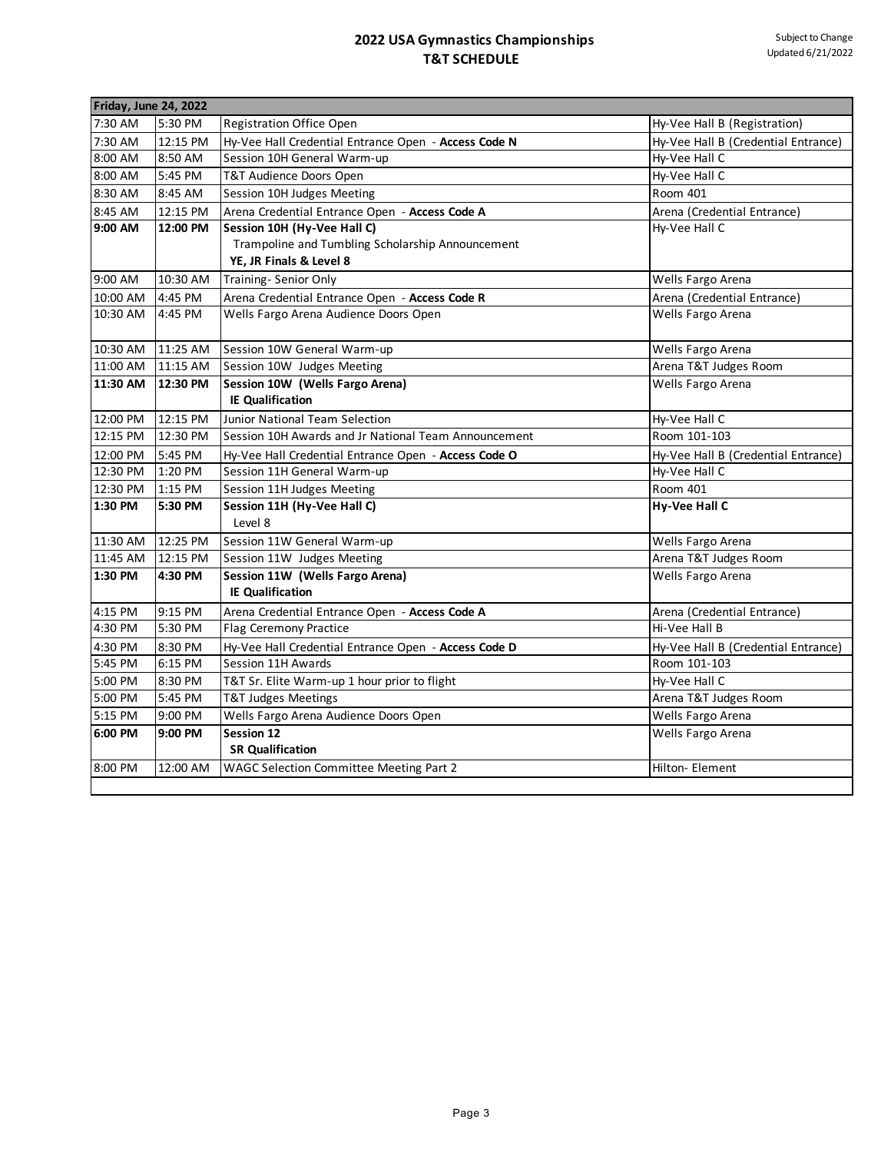| Friday, June 24, 2022 |          |                                                      |                                     |
|-----------------------|----------|------------------------------------------------------|-------------------------------------|
| 7:30 AM               | 5:30 PM  | Registration Office Open                             | Hy-Vee Hall B (Registration)        |
| 7:30 AM               | 12:15 PM | Hy-Vee Hall Credential Entrance Open - Access Code N | Hy-Vee Hall B (Credential Entrance) |
| 8:00 AM               | 8:50 AM  | Session 10H General Warm-up                          | Hy-Vee Hall C                       |
| 8:00 AM               | 5:45 PM  | T&T Audience Doors Open                              | Hy-Vee Hall C                       |
| 8:30 AM               | 8:45 AM  | Session 10H Judges Meeting                           | Room 401                            |
| 8:45 AM               | 12:15 PM | Arena Credential Entrance Open - Access Code A       | Arena (Credential Entrance)         |
| 9:00 AM               | 12:00 PM | Session 10H (Hy-Vee Hall C)                          | Hy-Vee Hall C                       |
|                       |          | Trampoline and Tumbling Scholarship Announcement     |                                     |
|                       |          | YE, JR Finals & Level 8                              |                                     |
| 9:00 AM               | 10:30 AM | Training- Senior Only                                | Wells Fargo Arena                   |
| 10:00 AM              | 4:45 PM  | Arena Credential Entrance Open - Access Code R       | Arena (Credential Entrance)         |
| 10:30 AM              | 4:45 PM  | Wells Fargo Arena Audience Doors Open                | Wells Fargo Arena                   |
| 10:30 AM              | 11:25 AM | Session 10W General Warm-up                          | Wells Fargo Arena                   |
| 11:00 AM              | 11:15 AM | Session 10W Judges Meeting                           | Arena T&T Judges Room               |
| 11:30 AM              | 12:30 PM | Session 10W (Wells Fargo Arena)                      | Wells Fargo Arena                   |
|                       |          | <b>IE Qualification</b>                              |                                     |
| 12:00 PM              | 12:15 PM | Junior National Team Selection                       | Hy-Vee Hall C                       |
| 12:15 PM              | 12:30 PM | Session 10H Awards and Jr National Team Announcement | Room 101-103                        |
| 12:00 PM              | 5:45 PM  | Hy-Vee Hall Credential Entrance Open - Access Code O | Hy-Vee Hall B (Credential Entrance) |
| 12:30 PM              | 1:20 PM  | Session 11H General Warm-up                          | Hy-Vee Hall C                       |
| 12:30 PM              | 1:15 PM  | Session 11H Judges Meeting                           | Room 401                            |
| 1:30 PM               | 5:30 PM  | Session 11H (Hy-Vee Hall C)                          | Hy-Vee Hall C                       |
|                       |          | Level 8                                              |                                     |
| 11:30 AM              | 12:25 PM | Session 11W General Warm-up                          | Wells Fargo Arena                   |
| 11:45 AM              | 12:15 PM | Session 11W Judges Meeting                           | Arena T&T Judges Room               |
| 1:30 PM               | 4:30 PM  | Session 11W (Wells Fargo Arena)                      | Wells Fargo Arena                   |
|                       |          | <b>IE Qualification</b>                              |                                     |
| 4:15 PM               | 9:15 PM  | Arena Credential Entrance Open - Access Code A       | Arena (Credential Entrance)         |
| 4:30 PM               | 5:30 PM  | Flag Ceremony Practice                               | Hi-Vee Hall B                       |
| 4:30 PM               | 8:30 PM  | Hy-Vee Hall Credential Entrance Open - Access Code D | Hy-Vee Hall B (Credential Entrance) |
| 5:45 PM               | 6:15 PM  | Session 11H Awards                                   | Room 101-103                        |
| 5:00 PM               | 8:30 PM  | T&T Sr. Elite Warm-up 1 hour prior to flight         | Hy-Vee Hall C                       |
| 5:00 PM               | 5:45 PM  | T&T Judges Meetings                                  | Arena T&T Judges Room               |
| 5:15 PM               | 9:00 PM  | Wells Fargo Arena Audience Doors Open                | Wells Fargo Arena                   |
| 6:00 PM               | 9:00 PM  | Session 12                                           | Wells Fargo Arena                   |
|                       |          | <b>SR Qualification</b>                              |                                     |
| 8:00 PM               | 12:00 AM | WAGC Selection Committee Meeting Part 2              | Hilton- Element                     |